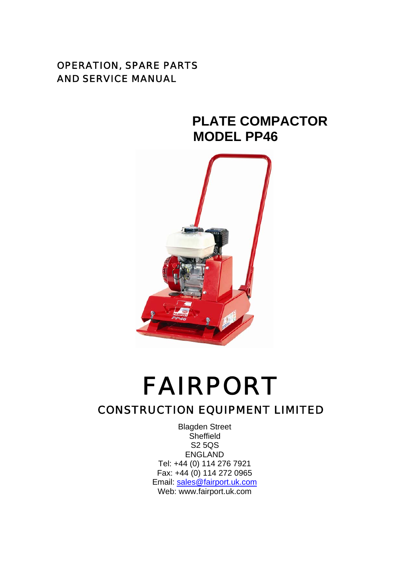# OPERATION, SPARE PARTS AND SERVICE MANUAL

# **PLATE COMPACTOR MODEL PP46**



# FAIRPORT

# CONSTRUCTION EQUIPMENT LIMITED

Blagden Street Sheffield S2 5QS ENGLAND Tel: +44 (0) 114 276 7921 Fax: +44 (0) 114 272 0965 Email: sales@fairport.uk.com Web: www.fairport.uk.com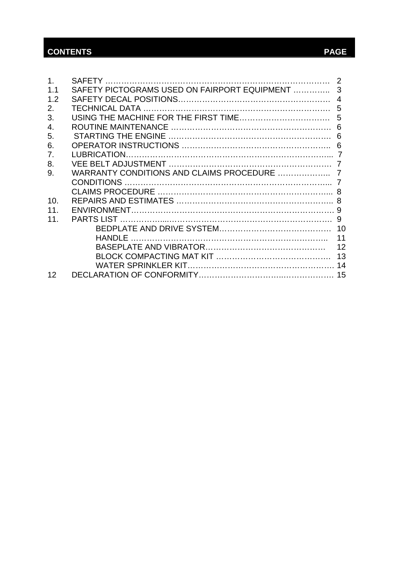# **CONTENTS PAGE**

|                 |                                              | $\mathcal{P}$ |
|-----------------|----------------------------------------------|---------------|
| 1.1             | SAFETY PICTOGRAMS USED ON FAIRPORT EQUIPMENT | 3             |
| 1.2             |                                              |               |
| 2.              |                                              | 5             |
| 3.              |                                              | 5             |
| 4.              |                                              |               |
| 5.              |                                              |               |
| 6.              |                                              |               |
| 7.              |                                              |               |
| 8.              |                                              |               |
| 9.              |                                              |               |
|                 |                                              |               |
|                 |                                              |               |
| 10.             |                                              |               |
| 11.             |                                              |               |
| 11 <sub>1</sub> |                                              |               |
|                 |                                              |               |
|                 |                                              | 11            |
|                 |                                              | 12            |
|                 |                                              | 13            |
|                 |                                              |               |
| 12              |                                              |               |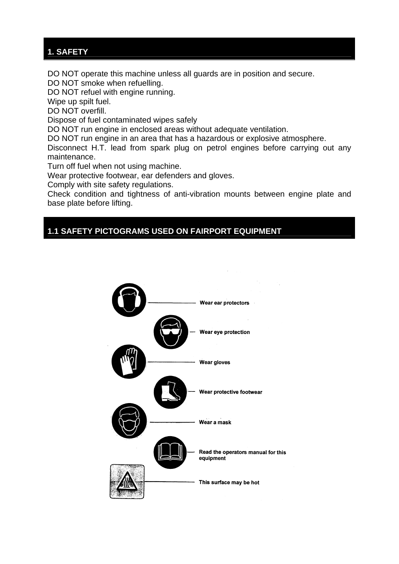### **1. SAFETY**

DO NOT operate this machine unless all guards are in position and secure.

DO NOT smoke when refuelling.

DO NOT refuel with engine running.

Wipe up spilt fuel.

DO NOT overfill.

Dispose of fuel contaminated wipes safely

DO NOT run engine in enclosed areas without adequate ventilation.

DO NOT run engine in an area that has a hazardous or explosive atmosphere.

Disconnect H.T. lead from spark plug on petrol engines before carrying out any maintenance.

Turn off fuel when not using machine.

Wear protective footwear, ear defenders and gloves.

Comply with site safety regulations.

Check condition and tightness of anti-vibration mounts between engine plate and base plate before lifting.

#### **1.1 SAFETY PICTOGRAMS USED ON FAIRPORT EQUIPMENT**

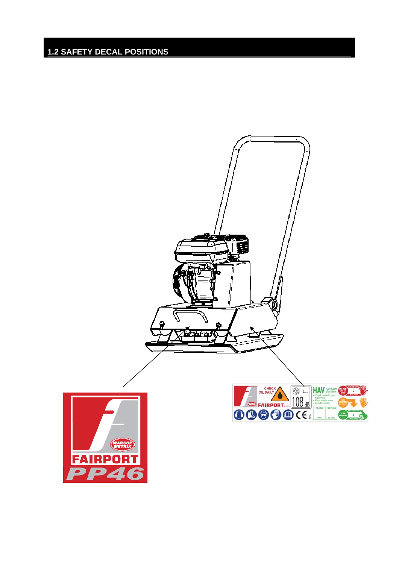# **1.2 SAFETY DECAL POSITIONS**

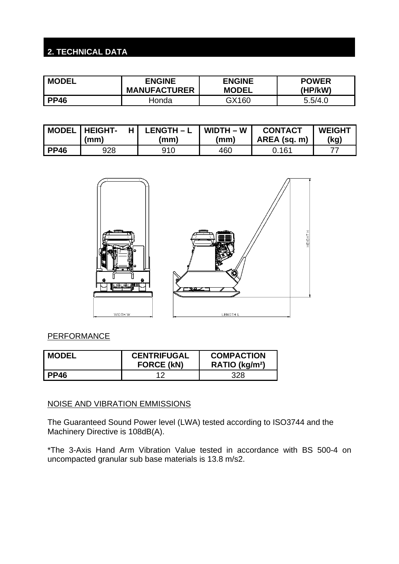### **2. TECHNICAL DATA**

| <b>MODEL</b> | <b>ENGINE</b>       | <b>ENGINE</b> | <b>POWER</b> |
|--------------|---------------------|---------------|--------------|
|              | <b>MANUFACTURER</b> | <b>MODEL</b>  | (HP/kW)      |
| PP46         | Honda               | GX160         | 5.5/4.0      |

| <b>MODEL</b> | <b>I HEIGHT-</b> | <b>.ENGTH – L</b> | $WIDTH - W$ | <b>CONTACT</b> | <b>WEIGHT</b> |
|--------------|------------------|-------------------|-------------|----------------|---------------|
|              | (mm)             | (mm)              | (mm)        | AREA (sq. m)   | (kg)          |
| l PP46       | 928              | 910               | 460         | 0.161          |               |



#### **PERFORMANCE**

| <b>MODEL</b> | <b>CENTRIFUGAL</b><br><b>FORCE (kN)</b> | <b>COMPACTION</b><br>RATIO (kg/m <sup>2</sup> ) |
|--------------|-----------------------------------------|-------------------------------------------------|
| <b>PP46</b>  | 10                                      | 328                                             |

#### NOISE AND VIBRATION EMMISSIONS

The Guaranteed Sound Power level (LWA) tested according to ISO3744 and the Machinery Directive is 108dB(A).

\*The 3-Axis Hand Arm Vibration Value tested in accordance with BS 500-4 on uncompacted granular sub base materials is 13.8 m/s2.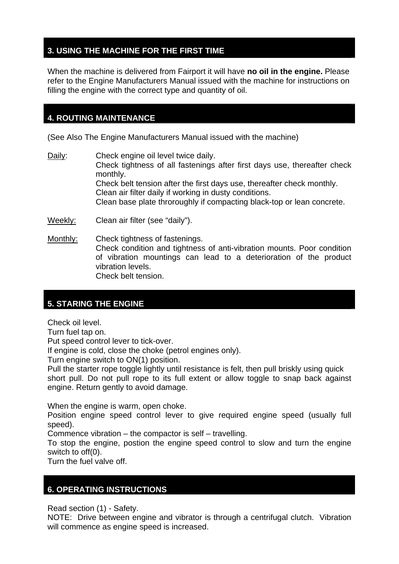#### **3. USING THE MACHINE FOR THE FIRST TIME**

When the machine is delivered from Fairport it will have **no oil in the engine.** Please refer to the Engine Manufacturers Manual issued with the machine for instructions on filling the engine with the correct type and quantity of oil.

#### **4. ROUTING MAINTENANCE**

(See Also The Engine Manufacturers Manual issued with the machine)

Daily: Check engine oil level twice daily. Check tightness of all fastenings after first days use, thereafter check monthly. Check belt tension after the first days use, thereafter check monthly. Clean air filter daily if working in dusty conditions. Clean base plate throroughly if compacting black-top or lean concrete.

Weekly: Clean air filter (see "daily").

Monthly: Check tightness of fastenings. Check condition and tightness of anti-vibration mounts. Poor condition of vibration mountings can lead to a deterioration of the product vibration levels. Check belt tension.

#### **5. STARING THE ENGINE**

Check oil level.

Turn fuel tap on.

Put speed control lever to tick-over.

If engine is cold, close the choke (petrol engines only).

Turn engine switch to ON(1) position.

Pull the starter rope toggle lightly until resistance is felt, then pull briskly using quick short pull. Do not pull rope to its full extent or allow toggle to snap back against engine. Return gently to avoid damage.

When the engine is warm, open choke.

Position engine speed control lever to give required engine speed (usually full speed).

Commence vibration – the compactor is self – travelling.

To stop the engine, postion the engine speed control to slow and turn the engine switch to off(0).

Turn the fuel valve off.

#### **6. OPERATING INSTRUCTIONS**

Read section (1) - Safety.

NOTE: Drive between engine and vibrator is through a centrifugal clutch. Vibration will commence as engine speed is increased.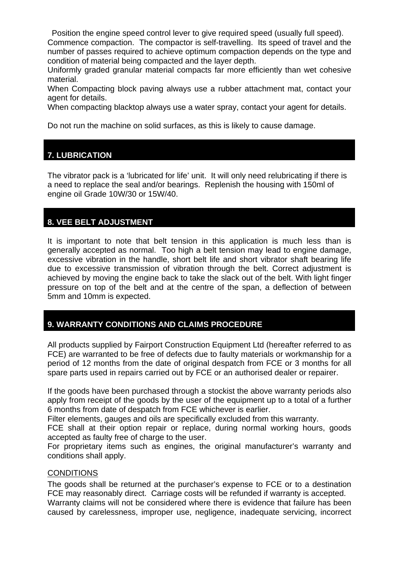Position the engine speed control lever to give required speed (usually full speed). Commence compaction. The compactor is self-travelling. Its speed of travel and the number of passes required to achieve optimum compaction depends on the type and condition of material being compacted and the layer depth.

Uniformly graded granular material compacts far more efficiently than wet cohesive material.

When Compacting block paving always use a rubber attachment mat, contact your agent for details.

When compacting blacktop always use a water spray, contact your agent for details.

Do not run the machine on solid surfaces, as this is likely to cause damage.

#### **7. LUBRICATION**

The vibrator pack is a 'lubricated for life' unit. It will only need relubricating if there is a need to replace the seal and/or bearings. Replenish the housing with 150ml of engine oil Grade 10W/30 or 15W/40.

#### **8. VEE BELT ADJUSTMENT**

It is important to note that belt tension in this application is much less than is generally accepted as normal. Too high a belt tension may lead to engine damage, excessive vibration in the handle, short belt life and short vibrator shaft bearing life due to excessive transmission of vibration through the belt. Correct adjustment is achieved by moving the engine back to take the slack out of the belt. With light finger pressure on top of the belt and at the centre of the span, a deflection of between 5mm and 10mm is expected.

#### **9. WARRANTY CONDITIONS AND CLAIMS PROCEDURE**

All products supplied by Fairport Construction Equipment Ltd (hereafter referred to as FCE) are warranted to be free of defects due to faulty materials or workmanship for a period of 12 months from the date of original despatch from FCE or 3 months for all spare parts used in repairs carried out by FCE or an authorised dealer or repairer.

If the goods have been purchased through a stockist the above warranty periods also apply from receipt of the goods by the user of the equipment up to a total of a further 6 months from date of despatch from FCE whichever is earlier.

Filter elements, gauges and oils are specifically excluded from this warranty.

FCE shall at their option repair or replace, during normal working hours, goods accepted as faulty free of charge to the user.

For proprietary items such as engines, the original manufacturer's warranty and conditions shall apply.

#### **CONDITIONS**

The goods shall be returned at the purchaser's expense to FCE or to a destination FCE may reasonably direct. Carriage costs will be refunded if warranty is accepted. Warranty claims will not be considered where there is evidence that failure has been

caused by carelessness, improper use, negligence, inadequate servicing, incorrect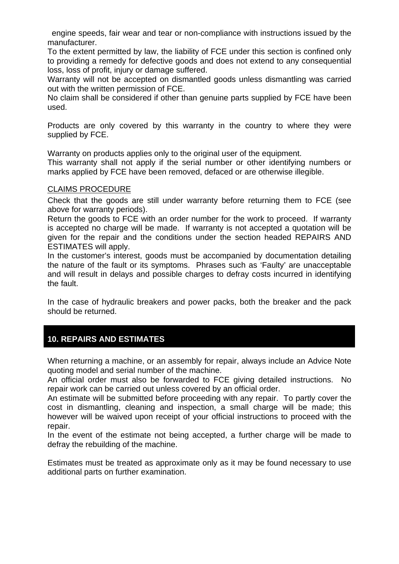engine speeds, fair wear and tear or non-compliance with instructions issued by the manufacturer.

To the extent permitted by law, the liability of FCE under this section is confined only to providing a remedy for defective goods and does not extend to any consequential loss, loss of profit, injury or damage suffered.

Warranty will not be accepted on dismantled goods unless dismantling was carried out with the written permission of FCE.

No claim shall be considered if other than genuine parts supplied by FCE have been used.

Products are only covered by this warranty in the country to where they were supplied by FCE.

Warranty on products applies only to the original user of the equipment.

This warranty shall not apply if the serial number or other identifying numbers or marks applied by FCE have been removed, defaced or are otherwise illegible.

#### CLAIMS PROCEDURE

Check that the goods are still under warranty before returning them to FCE (see above for warranty periods).

Return the goods to FCE with an order number for the work to proceed. If warranty is accepted no charge will be made. If warranty is not accepted a quotation will be given for the repair and the conditions under the section headed REPAIRS AND ESTIMATES will apply.

In the customer's interest, goods must be accompanied by documentation detailing the nature of the fault or its symptoms. Phrases such as 'Faulty' are unacceptable and will result in delays and possible charges to defray costs incurred in identifying the fault.

In the case of hydraulic breakers and power packs, both the breaker and the pack should be returned.

#### **10. REPAIRS AND ESTIMATES**

When returning a machine, or an assembly for repair, always include an Advice Note quoting model and serial number of the machine.

An official order must also be forwarded to FCE giving detailed instructions. No repair work can be carried out unless covered by an official order.

An estimate will be submitted before proceeding with any repair. To partly cover the cost in dismantling, cleaning and inspection, a small charge will be made; this however will be waived upon receipt of your official instructions to proceed with the repair.

In the event of the estimate not being accepted, a further charge will be made to defray the rebuilding of the machine.

Estimates must be treated as approximate only as it may be found necessary to use additional parts on further examination.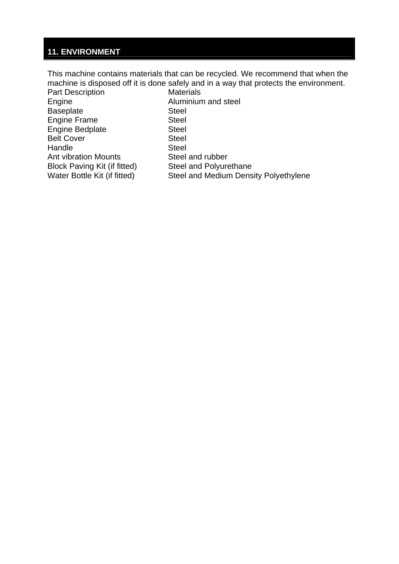# **11. ENVIRONMENT**

This machine contains materials that can be recycled. We recommend that when the machine is disposed off it is done safely and in a way that protects the environment.

| <b>Part Description</b>      | <b>Materials</b>                      |
|------------------------------|---------------------------------------|
| Engine                       | Aluminium and steel                   |
| <b>Baseplate</b>             | <b>Steel</b>                          |
| <b>Engine Frame</b>          | <b>Steel</b>                          |
| <b>Engine Bedplate</b>       | <b>Steel</b>                          |
| <b>Belt Cover</b>            | <b>Steel</b>                          |
| Handle                       | <b>Steel</b>                          |
| <b>Ant vibration Mounts</b>  | Steel and rubber                      |
| Block Paving Kit (if fitted) | Steel and Polyurethane                |
| Water Bottle Kit (if fitted) | Steel and Medium Density Polyethylene |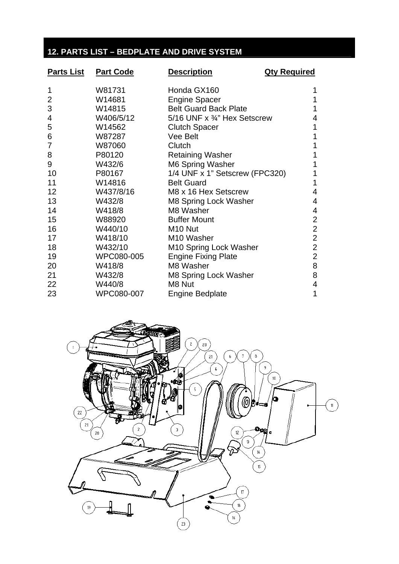# **12. PARTS LIST – BEDPLATE AND DRIVE SYSTEM**

| <u>Parts List</u> | <b>Part Code</b> | <b>Description</b>             | <b>Qty Required</b> |
|-------------------|------------------|--------------------------------|---------------------|
| 1                 | W81731           | Honda GX160                    |                     |
| $\overline{2}$    | W14681           | <b>Engine Spacer</b>           |                     |
| 3                 | W14815           | <b>Belt Guard Back Plate</b>   |                     |
| 4                 | W406/5/12        | 5/16 UNF x 3/4" Hex Setscrew   | 4                   |
| 5                 | W14562           | <b>Clutch Spacer</b>           |                     |
| 6                 | W87287           | Vee Belt                       |                     |
| 7                 | W87060           | Clutch                         | 1                   |
| 8                 | P80120           | <b>Retaining Washer</b>        |                     |
| 9                 | W432/6           | M6 Spring Washer               |                     |
| 10                | P80167           | 1/4 UNF x 1" Setscrew (FPC320) |                     |
| 11                | W14816           | <b>Belt Guard</b>              | 1                   |
| 12                | W437/8/16        | M8 x 16 Hex Setscrew           | 4                   |
| 13                | W432/8           | M8 Spring Lock Washer          | 4                   |
| 14                | W418/8           | M8 Washer                      | 4                   |
| 15                | W88920           | <b>Buffer Mount</b>            | $\overline{2}$      |
| 16                | W440/10          | M <sub>10</sub> Nut            | $\overline{2}$      |
| 17                | W418/10          | M10 Washer                     | $\overline{2}$      |
| 18                | W432/10          | M10 Spring Lock Washer         | $\overline{2}$      |
| 19                | WPC080-005       | <b>Engine Fixing Plate</b>     | $\overline{2}$      |
| 20                | W418/8           | M8 Washer                      | 8                   |
| 21                | W432/8           | M8 Spring Lock Washer          | 8                   |
| 22                | W440/8           | M8 Nut                         | 4                   |
| 23                | WPC080-007       | <b>Engine Bedplate</b>         | 1                   |

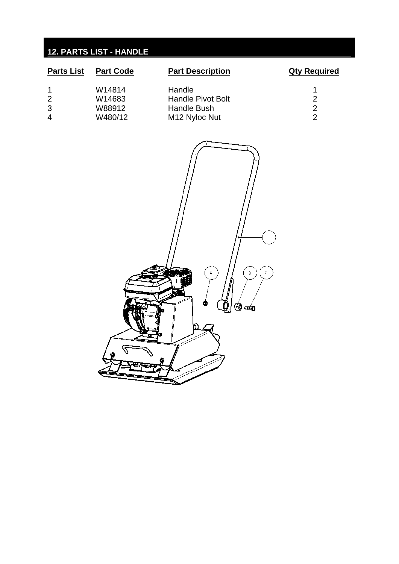# **12. PARTS LIST - HANDLE**

| <b>Part Code</b> | <b>Part Description</b>   | <b>Qty Required</b> |
|------------------|---------------------------|---------------------|
| W14814           | Handle                    |                     |
| W14683           | <b>Handle Pivot Bolt</b>  | 2                   |
| W88912           | Handle Bush               | 2                   |
| W480/12          | M <sub>12</sub> Nyloc Nut | 2                   |
|                  |                           |                     |

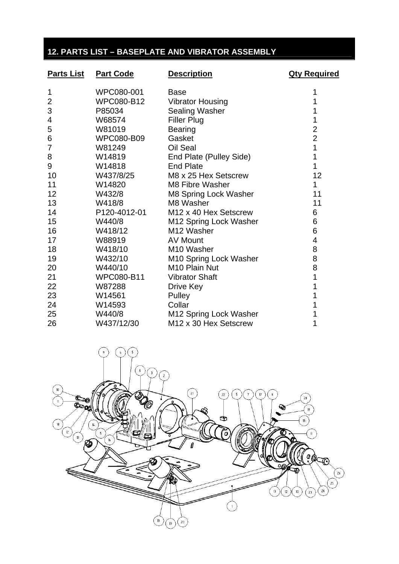# **12. PARTS LIST – BASEPLATE AND VIBRATOR ASSEMBLY**

| <b>Parts List</b> | <b>Part Code</b>  | <b>Description</b>                | <b>Qty Required</b> |
|-------------------|-------------------|-----------------------------------|---------------------|
| 1                 | WPC080-001        | <b>Base</b>                       | 1                   |
| $\overline{2}$    | WPC080-B12        | <b>Vibrator Housing</b>           | 1                   |
| 3                 | P85034            | <b>Sealing Washer</b>             | 1                   |
| 4                 | W68574            | <b>Filler Plug</b>                | 1                   |
| 5                 | W81019            | <b>Bearing</b>                    | $\overline{2}$      |
| 6                 | WPC080-B09        | Gasket                            | $\overline{2}$      |
| 7                 | W81249            | Oil Seal                          | 1                   |
| 8                 | W14819            | End Plate (Pulley Side)           | 1                   |
| 9                 | W14818            | <b>End Plate</b>                  | 1                   |
| 10                | W437/8/25         | M8 x 25 Hex Setscrew              | 12                  |
| 11                | W14820            | M8 Fibre Washer                   | 1                   |
| 12                | W432/8            | M8 Spring Lock Washer             | 11                  |
| 13                | W418/8            | M8 Washer                         | 11                  |
| 14                | P120-4012-01      | M <sub>12</sub> x 40 Hex Setscrew | 6                   |
| 15                | W440/8            | M12 Spring Lock Washer            | 6                   |
| 16                | W418/12           | M <sub>12</sub> Washer            | 6                   |
| 17                | W88919            | <b>AV Mount</b>                   | 4                   |
| 18                | W418/10           | M <sub>10</sub> Washer            | 8                   |
| 19                | W432/10           | M10 Spring Lock Washer            | 8                   |
| 20                | W440/10           | M <sub>10</sub> Plain Nut         | 8                   |
| 21                | <b>WPC080-B11</b> | <b>Vibrator Shaft</b>             | 1                   |
| 22                | W87288            | Drive Key                         |                     |
| 23                | W14561            | Pulley                            |                     |
| 24                | W14593            | Collar                            |                     |
| 25                | W440/8            | M12 Spring Lock Washer            |                     |
| 26                | W437/12/30        | M <sub>12</sub> x 30 Hex Setscrew | 1                   |

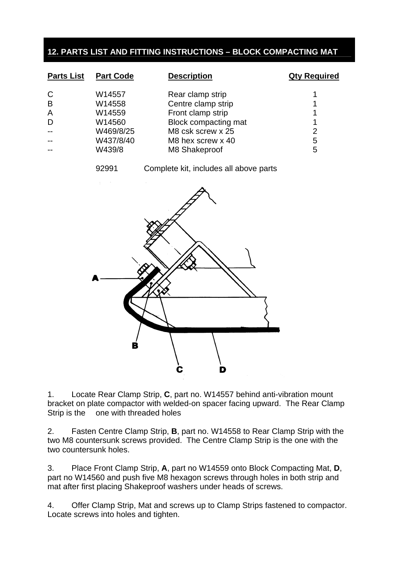#### **12. PARTS LIST AND FITTING INSTRUCTIONS – BLOCK COMPACTING MAT**

| <b>Parts List</b> | <b>Part Code</b> | <b>Description</b>   | <b>Qty Required</b> |
|-------------------|------------------|----------------------|---------------------|
| C                 | W14557           | Rear clamp strip     |                     |
| B                 | W14558           | Centre clamp strip   |                     |
| A                 | W14559           | Front clamp strip    |                     |
| D                 | W14560           | Block compacting mat |                     |
|                   | W469/8/25        | M8 csk screw x 25    | 2                   |
|                   | W437/8/40        | M8 hex screw x 40    | 5                   |
|                   | W439/8           | M8 Shakeproof        | 5                   |

92991 Complete kit, includes all above parts



1. Locate Rear Clamp Strip, **C**, part no. W14557 behind anti-vibration mount bracket on plate compactor with welded-on spacer facing upward. The Rear Clamp Strip is the one with threaded holes

2. Fasten Centre Clamp Strip, **B**, part no. W14558 to Rear Clamp Strip with the two M8 countersunk screws provided. The Centre Clamp Strip is the one with the two countersunk holes.

3. Place Front Clamp Strip, **A**, part no W14559 onto Block Compacting Mat, **D**, part no W14560 and push five M8 hexagon screws through holes in both strip and mat after first placing Shakeproof washers under heads of screws.

4. Offer Clamp Strip, Mat and screws up to Clamp Strips fastened to compactor. Locate screws into holes and tighten.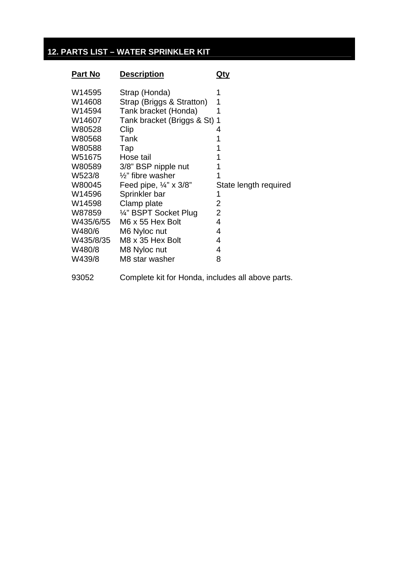# **12. PARTS LIST – WATER SPRINKLER KIT**

| <b>Part No</b> | <u>Description</u>                | Qty                   |
|----------------|-----------------------------------|-----------------------|
| W14595         | Strap (Honda)                     |                       |
| W14608         | Strap (Briggs & Stratton)         | 1                     |
| W14594         | Tank bracket (Honda)              |                       |
| W14607         | Tank bracket (Briggs & St) 1      |                       |
| W80528         | Clip                              | 4                     |
| W80568         | Tank                              |                       |
| W80588         | Tap                               |                       |
| W51675         | Hose tail                         |                       |
| W80589         | 3/8" BSP nipple nut               |                       |
| W523/8         | $\frac{1}{2}$ " fibre washer      |                       |
| W80045         | Feed pipe, $\frac{1}{4}$ " x 3/8" | State length required |
| W14596         | Sprinkler bar                     |                       |
| W14598         | Clamp plate                       | 2                     |
| W87859         | 1/4" BSPT Socket Plug             | $\overline{2}$        |
| W435/6/55      | M6 x 55 Hex Bolt                  | 4                     |
| W480/6         | M6 Nyloc nut                      | 4                     |
| W435/8/35      | M8 x 35 Hex Bolt                  | 4                     |
| W480/8         | M8 Nyloc nut                      | 4                     |
| W439/8         | M8 star washer                    | 8                     |
|                |                                   |                       |

93052 Complete kit for Honda, includes all above parts.